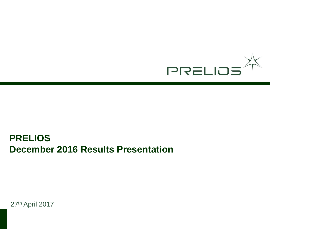

# **PRELIOS December 2016 Results Presentation**

27th April 2017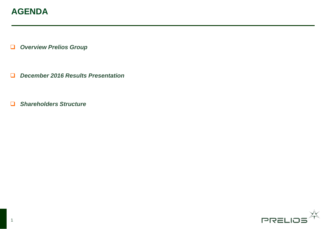## **AGENDA**

*Overview Prelios Group* 

- *December 2016 Results Presentation*
- *Shareholders Structure*

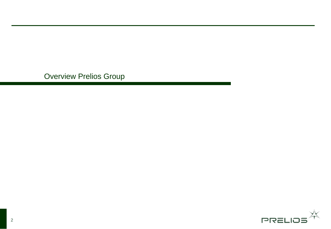Overview Prelios Group

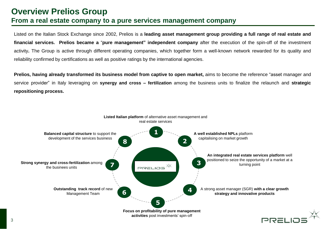### **Overview Prelios Group From a real estate company to a pure services management company**

Listed on the Italian Stock Exchange since 2002, Prelios is a **leading asset management group providing a full range of real estate and financial services. Prelios became a** "**pure management" independent company** after the execution of the spin-off of the investment activity**.** The Group is active through different operating companies, which together form a well-known network rewarded for its quality and reliability confirmed by certifications as well as positive ratings by the international agencies.

**Prelios, having already transformed its business model from captive to open market,** aims to become the reference "asset manager and service provider" in Italy leveraging on **synergy and cross – fertilization** among the business units to finalize the relaunch and **strategic repositioning process.**

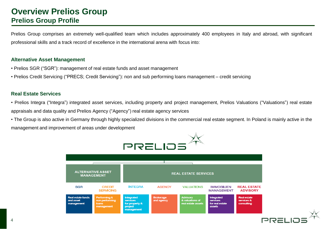### **Overview Prelios Group Prelios Group Profile**

Prelios Group comprises an extremely well-qualified team which includes approximately 400 employees in Italy and abroad, with significant professional skills and a track record of excellence in the international arena with focus into:

#### **Alternative Asset Management**

- Prelios SGR ("SGR"): management of real estate funds and asset management
- Prelios Credit Servicing ("PRECS; Credit Servicing"): non and sub performing loans management credit servicing

### **Real Estate Services**

- Prelios Integra ("Integra") integrated asset services, including property and project management, Prelios Valuations ("Valuations") real estate appraisals and data quality and Prelios Agency ("Agency") real estate agency services
- \* The Group is also active in Germany through highly specialized divisions in the commercial real estate segment. In Poland is mainly active in the management and improvement of areas under development

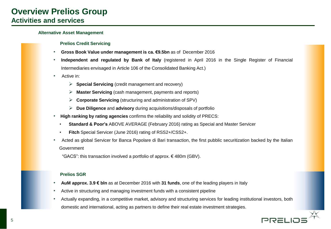#### **Alternative Asset Management**

#### **Prelios Credit Servicing**

- **Gross Book Value under management is ca. €9.5bn** as of December 2016
- **Independent and regulated by Bank of Italy** (registered in April 2016 in the Single Register of Financial Intermediaries envisaged in Article 106 of the Consolidated Banking Act.)
- Active in:
	- **Special Servicing** (credit management and recovery)
	- **Master Servicing** (cash management, payments and reports)
	- **Corporate Servicing** (structuring and administration of SPV)
	- **Due Diligence** and **advisory** during acquisitions/disposals of portfolio
- **High ranking by rating agencies** confirms the reliability and solidity of PRECS:
	- **Standard & Poor's** ABOVE AVERAGE (February 2016) rating as Special and Master Servicer
	- **Fitch** Special Servicer (June 2016) rating of RSS2+/CSS2+.
- Acted as global Servicer for Banca Popolare di Bari transaction, the first pubblic securitization backed by the Italian **Government**

"GACS": this transaction involved a portfolio of approx.  $\epsilon$  480m (GBV).

#### **Prelios SGR**

- **AuM approx. 3.9 € bln** as at December 2016 with **31 funds**, one of the leading players in Italy
- Active in structuring and managing investment funds with a consistent pipeline
- Actually expanding, in a competitive market, advisory and structuring services for leading institutional investors, both domestic and international, acting as partners to define their real estate investment strategies.

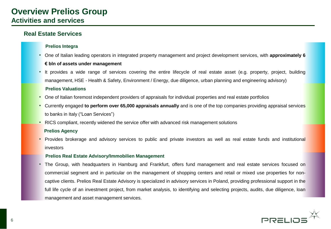### **Real Estate Services**

### **Prelios Integra**

- One of Italian leading operators in integrated property management and project development services, with **approximately 6 € bln of assets under management**
- It provides a wide range of services covering the entire lifecycle of real estate asset (e.g. property, project, building management, HSE - Health & Safety, Environment / Energy, due diligence, urban planning and engineering advisory)

#### **Prelios Valuations**

- One of Italian foremost independent providers of appraisals for individual properties and real estate portfolios
- Currently engaged **to perform over 65,000 appraisals annually** and is one of the top companies providing appraisal services to banks in Italy ("Loan Services")
- RICS compliant, recently widened the service offer with advanced risk management solutions

#### **Prelios Agency**

• Provides brokerage and advisory services to public and private investors as well as real estate funds and institutional investors

#### **Prelios Real Estate Advisory/Immobilien Management**

• The Group, with headquarters in Hamburg and Frankfurt, offers fund management and real estate services focused on commercial segment and in particular on the management of shopping centers and retail or mixed use properties for noncaptive clients. Prelios Real Estate Advisory is specialized in advisory services in Poland, providing professional support in the full life cycle of an investment project, from market analysis, to identifying and selecting projects, audits, due diligence, loan management and asset management services.

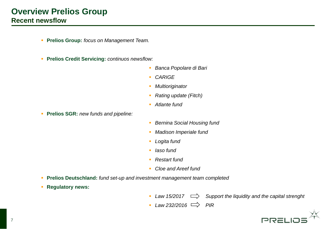### **Overview Prelios Group Recent newsflow**

- **Prelios Group:** *focus on Management Team.*
- **Prelios Credit Servicing:** *continuos newsflow:*
	- *Banca Popolare di Bari*
	- *CARIGE*
	- *Multioriginator*
	- *Rating update (Fitch)*
	- *Atlante fund*
- **Prelios SGR:** *new funds and pipeline:*
- *Bernina Social Housing fund*
- *Madison Imperiale fund*
- *Logita fund*
- *Iaso fund*
- *Restart fund*
- *Cloe and Areef fund*
- **Prelios Deutschland:** *fund set-up and investment management team completed*
- **Regulatory news:**

- *Law 15/2017 Support the liquidity and the capital strenght*
- $\overline{\phantom{2}}$  *Law* 232/2016  $\implies$  PIR

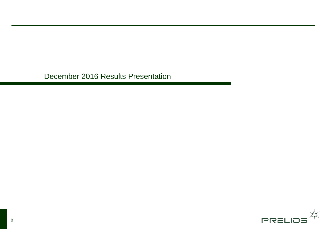December 2016 Results Presentation

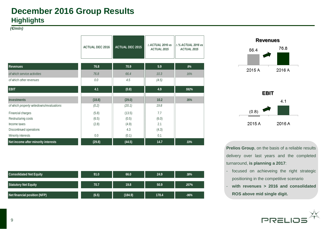### **December 2016 Group Results Highlights**

*(€/mln)*

|                                           | <b>ACTUAL DEC 2016</b> | <b>ACTUAL DEC 2015</b> | △ ACTUAL 2016 vs<br><b>ACTUAL 2015</b> | $\triangle$ % ACTUAL 2016 vs<br><b>ACTUAL 2015</b> |
|-------------------------------------------|------------------------|------------------------|----------------------------------------|----------------------------------------------------|
| <b>Revenues</b>                           | 76.8                   | 70.9                   | 5.9                                    | 8%                                                 |
| of which service activities               | 76.8                   | 66.4                   | 10.3                                   | 16%                                                |
| of which other revenues                   | 0.0                    | 4.5                    | (4.5)                                  |                                                    |
| <b>EBIT</b>                               | 4.1                    | (0.8)                  | 4.9                                    | 592%                                               |
| <b>Investments</b>                        | (18.8)                 | (29.0)                 | 10.2                                   | 35%                                                |
| of which property writedowns/revaluations | (0.2)                  | (20.1)                 | 19.8                                   |                                                    |
| Financial charges                         | (5.8)                  | (13.5)                 | 7.7                                    |                                                    |
| Restructuring costs                       | (6.5)                  | (0.5)                  | (6.0)                                  |                                                    |
| Income taxes                              | (2.8)                  | (4.9)                  | 2.1                                    |                                                    |
| Discontinued operations                   |                        | 4.3                    | (4.3)                                  |                                                    |
| Minority interests                        | 0.0                    | (0.1)                  | 0.1                                    |                                                    |
| Net income after minority interests       | (29.8)                 | (44.5)                 | 14.7                                   | 33%                                                |

| <b>Consolidated Net Equity</b>      | 91.0  | 66.0    | 24.9  | 38%    |
|-------------------------------------|-------|---------|-------|--------|
| <b>Statutory Net Equity</b>         | 70.7  | 19.8    | 50.9  | 257%   |
| <b>Net financial position (NFP)</b> | (6.5) | (184.9) | 178.4 | $-96%$ |





**Prelios Group**, on the basis of a reliable results delivery over last years and the completed turnaround, **is planning a 2017**:

- focused on achieveing the right strategic positioning in the competitive scenario
- **with revenues > 2016 and consolidated ROS above mid single digit.**

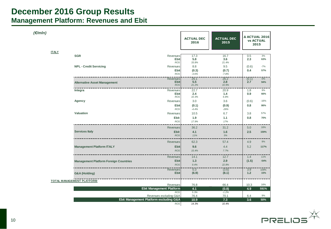### **December 2016 Group Results Management Platform: Revenues and Ebit**

| (E/mln)      |                                              |                                                      |                           |                           |                                                  |               |
|--------------|----------------------------------------------|------------------------------------------------------|---------------------------|---------------------------|--------------------------------------------------|---------------|
|              |                                              |                                                      | <b>ACTUAL DEC</b><br>2016 | <b>ACTUAL DEC</b><br>2015 | <b>A ACTUAL 2016</b><br><b>vs ACTUAL</b><br>2015 |               |
| <b>ITALY</b> |                                              |                                                      |                           |                           |                                                  |               |
|              | <b>SGR</b>                                   | Revenues<br><b>Ebit</b><br><b>ROS</b>                | 17.3<br>5.8<br>33.8%      | 16.7<br>3.6<br>21.4%      | 0.5<br>2.3                                       | 3%<br>63%     |
|              | <b>NPL - Credit Servicing</b>                | Revenues<br><b>Ebit</b>                              | 8.8<br>(0.3)              | 9.5<br>(0.7)              | (0.6)<br>0.4                                     | $-7%$<br>57%  |
|              |                                              | <b>ROS</b>                                           | $-3.6%$                   | $-7.8%$                   |                                                  |               |
|              | <b>Alternative Asset Management</b>          | <b>Revenues</b><br><b>Ebit</b><br><b>ROS</b>         | 26.1<br>5.5<br>21.2%      | 26.2<br>2.8<br>10.9%      | (0.1)<br>2.7                                     | 0%<br>94%     |
|              | Integra                                      | Revenues<br>Ebit<br><b>ROS</b>                       | 22.7<br>2.4<br>10.3%      | 20.9<br>1.4<br>6.8%       | 1.8<br>0.9                                       | 9%<br>66%     |
|              | Agency                                       | Revenues<br>Ebit                                     | 3.0<br>(0.1)              | 3.6<br>(0.9)              | (0.6)<br>0.8                                     | $-16%$<br>86% |
|              | <b>Valuation</b>                             | <b>ROS</b><br>Revenues<br>Ebit                       | $-4.4%$<br>10.5<br>1.9    | $-26%$<br>6.7<br>1.1      | 3.8<br>0.8                                       | 57%<br>70%    |
|              |                                              | <b>ROS</b>                                           | 17.9%                     | 17%                       |                                                  |               |
|              | <b>Services Italy</b>                        | <b>Revenues</b><br><b>Ebit</b>                       | 36.2<br>4.1               | 31.2<br>1.6               | 5.0<br>2.5                                       | 16%<br>159%   |
|              |                                              | <b>ROS</b>                                           | 11%                       | $5%$                      |                                                  |               |
|              |                                              | <b>Revenues</b>                                      | 62.3                      | 57.4                      | 4.9                                              | 9%            |
|              | <b>Management Platform ITALY</b>             | <b>Ebit</b><br><b>ROS</b>                            | 9.6<br>15.4%              | 4.4<br>7.7%               | 5.2                                              | 117%          |
|              | <b>Management Platform Foreign Countries</b> | <b>Revenues</b><br><b>Ebit</b><br><b>ROS</b>         | 14.1<br>1.3<br>9.4%       | 12.7<br>2.9<br>22.8%      | 1.4<br>(1.5)                                     | 11%<br>$-54%$ |
|              | G&A (Holding)                                | Revenues<br><b>Ebit</b>                              | 0.3<br>(6.9)              | (3.6)<br>(8.1)            | 3.9<br>$1.2$                                     | 109%<br>15%   |
|              | <b>TOTAL MANAGEMENT PLATFORM</b>             |                                                      |                           |                           |                                                  |               |
|              |                                              | Revenues                                             | 76.8                      | 66.4                      | 10.3                                             | 16%           |
|              |                                              | <b>Ebit Management Platform</b><br><b>ROS</b>        | 4.1<br>5.3%               | (0.8)<br>$-1.2%$          | 4.9                                              | 591%          |
|              |                                              | Revenues escluding G&A                               | 76.4                      | 70.1                      | 6.4                                              | 9%            |
|              |                                              | Ebit Management Platform escluding G&A<br><b>ROS</b> | 10.9<br>14.3%             | 7.3<br>10.4%              | 3.6                                              | 50%           |

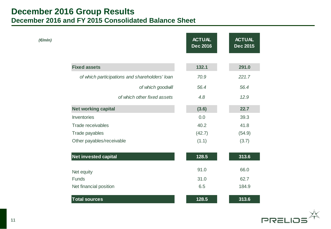### **December 2016 Group Results December 2016 and FY 2015 Consolidated Balance Sheet**

| (€/mln)                                        | <b>ACTUAL</b><br><b>Dec 2016</b> | <b>ACTUAL</b><br><b>Dec 2015</b> |
|------------------------------------------------|----------------------------------|----------------------------------|
|                                                |                                  |                                  |
| <b>Fixed assets</b>                            | 132.1                            | 291.0                            |
| of which participations and shareholders' loan | 70.9                             | 221.7                            |
| of which goodwill                              | 56.4                             | 56.4                             |
| of which other fixed assets                    | 4.8                              | 12.9                             |
| <b>Net working capital</b>                     | (3.6)                            | 22.7                             |
| Inventories                                    | 0.0                              | 39.3                             |
| <b>Trade receivables</b>                       | 40.2                             | 41.8                             |
| Trade payables                                 | (42.7)                           | (54.9)                           |
| Other payables/receivable                      | (1.1)                            | (3.7)                            |
| <b>Net invested capital</b>                    | 128.5                            | 313.6                            |
| Net equity                                     | 91.0                             | 66.0                             |
| <b>Funds</b>                                   | 31.0                             | 62.7                             |
| Net financial position                         | 6.5                              | 184.9                            |
| <b>Total sources</b>                           | 128.5                            | 313.6                            |

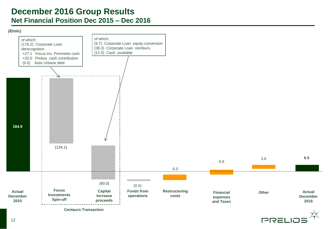### **December 2016 Group Results Net Financial Position Dec 2015 – Dec 2016**

#### *(€/mln)*



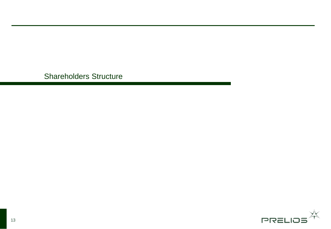Shareholders Structure

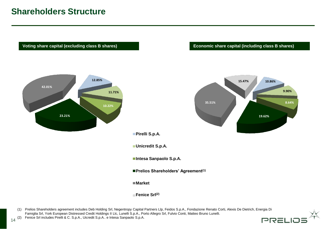# **Shareholders Structure**

Voting share capital (excluding class B shares) *Economic share capital (including class B shares)* 



(1) Prelios Shareholders agreement includes Deb Holding Srl, Negentropy Capital Partners Llp, Feidos S.p.A., Fondazione Renato Corti, Alexis De Dietrich, Energia Di Famiglia Srl, York European Distressed Credit Holdings II Llc, Lunelli S.p.A., Porto Allegro Srl, Fulvio Conti, Matteo Bruno Lunelli. Fenice Srl includes Pirelli & C. S.p.A., Uicredit S.p.A.. e Intesa Sanpaolo S.p.A.



 $14^{(2)}$